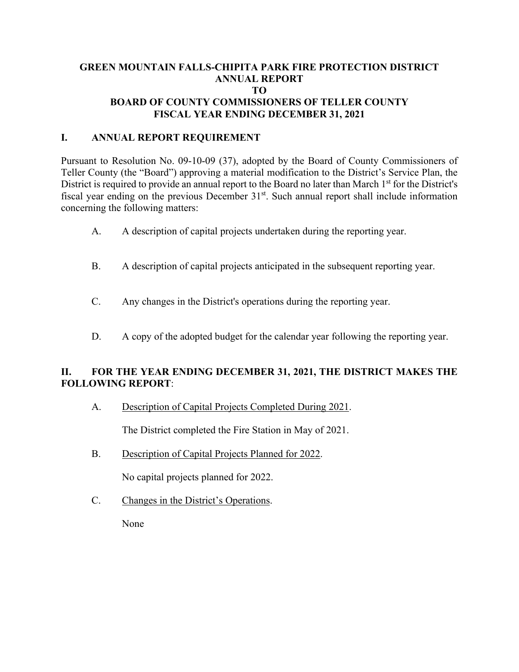### **GREEN MOUNTAIN FALLS-CHIPITA PARK FIRE PROTECTION DISTRICT ANNUAL REPORT TO BOARD OF COUNTY COMMISSIONERS OF TELLER COUNTY FISCAL YEAR ENDING DECEMBER 31, 2021**

#### **I. ANNUAL REPORT REQUIREMENT**

Pursuant to Resolution No. 09-10-09 (37), adopted by the Board of County Commissioners of Teller County (the "Board") approving a material modification to the District's Service Plan, the District is required to provide an annual report to the Board no later than March 1<sup>st</sup> for the District's fiscal year ending on the previous December  $31<sup>st</sup>$ . Such annual report shall include information concerning the following matters:

- A. A description of capital projects undertaken during the reporting year.
- B. A description of capital projects anticipated in the subsequent reporting year.
- C. Any changes in the District's operations during the reporting year.
- D. A copy of the adopted budget for the calendar year following the reporting year.

### **II. FOR THE YEAR ENDING DECEMBER 31, 2021, THE DISTRICT MAKES THE FOLLOWING REPORT**:

A. Description of Capital Projects Completed During 2021.

The District completed the Fire Station in May of 2021.

B. Description of Capital Projects Planned for 2022.

No capital projects planned for 2022.

C. Changes in the District's Operations.

None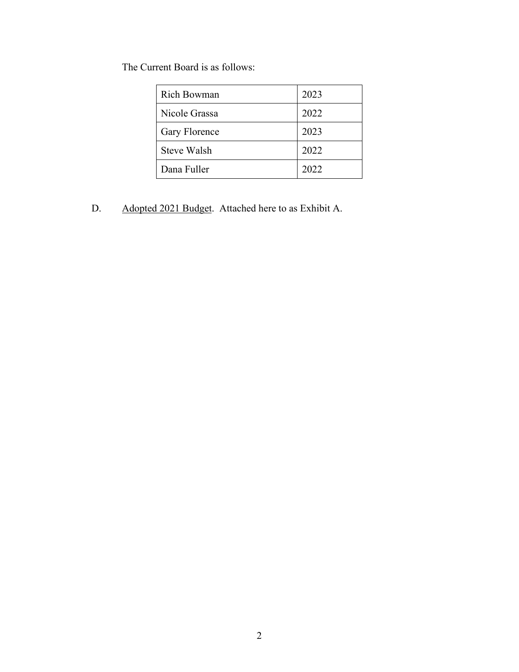The Current Board is as follows:

| <b>Rich Bowman</b> | 2023 |
|--------------------|------|
| Nicole Grassa      | 2022 |
| Gary Florence      | 2023 |
| Steve Walsh        | 2022 |
| Dana Fuller        | 2022 |

D. Adopted 2021 Budget. Attached here to as Exhibit A.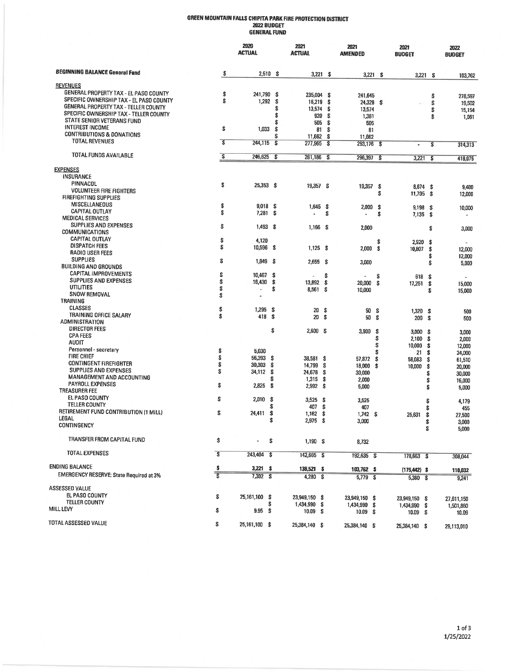## GREEN MOUNTAIN FALLS CHIPITA PARK FIRE PROTECTION DISTRICT<br>2022 BUDGET<br>GENERAL FUND

|                                                |                         | 2020<br><b>ACTUAL</b> |                         | 2021<br><b>ACTUAL</b> |                                 | 2021<br><b>AMENDED</b> |      | 2021<br><b>BUDGET</b> |    | 2022<br><b>BUDGET</b> |
|------------------------------------------------|-------------------------|-----------------------|-------------------------|-----------------------|---------------------------------|------------------------|------|-----------------------|----|-----------------------|
| <b>BEGINNING BALANCE General Fund</b>          | \$                      | $2,510$ \$            |                         | $3,221$ \$            |                                 | 3,221                  | \$   | 3,221                 | \$ | 103,762               |
| <b>REVENUES</b>                                |                         |                       |                         |                       |                                 |                        |      |                       |    |                       |
| GENERAL PROPERTY TAX - EL PASO COUNTY          |                         |                       |                         |                       |                                 |                        |      |                       |    |                       |
| SPECIFIC OWNERSHIP TAX - EL PASO COUNTY        | \$<br>S                 | 241,790               | \$                      | 235,004               | \$                              | 241,645                |      |                       | \$ | 278,597               |
| GENERAL PROPERTY TAX - TELLER COUNTY           |                         | 1,292                 | \$                      | 16,219                | \$                              | 24,328                 | S.   |                       | \$ | 19,502                |
| SPECIFIC OWNERSHIP TAX - TELLER COUNTY         |                         |                       | \$                      | 13,574                | \$                              | 13,574                 |      |                       | \$ | 15,154                |
| STATE SENIOR VETERANS FUND                     |                         |                       | \$                      | 920                   | \$                              | 1,381                  |      |                       | \$ | 1,061                 |
| <b>INTEREST INCOME</b>                         |                         |                       | S                       | 505                   | s                               | 505                    |      |                       |    |                       |
| <b>CONTRIBUTIONS &amp; DONATIONS</b>           | s                       | 1,033                 | \$                      | 81                    | \$                              | 81                     |      |                       |    |                       |
| <b>TOTAL REVENUES</b>                          | $\overline{\mathbf{s}}$ | 244,115               | $\overline{\mathbf{s}}$ | 11,662<br>277,965     | \$<br>$\boldsymbol{\mathsf{s}}$ | 11,662<br>293,176      | \$   | ٠                     | \$ | 314,313               |
| TOTAL FUNDS AVAILABLE                          |                         |                       |                         |                       |                                 |                        |      |                       |    |                       |
|                                                | $\overline{\mathbf{s}}$ | 246,625               | \$                      | 281,186               | - \$                            | 296,397                | - \$ | 3,221                 | S  | 418,075               |
| <b>EXPENSES</b>                                |                         |                       |                         |                       |                                 |                        |      |                       |    |                       |
| INSURANCE                                      |                         |                       |                         |                       |                                 |                        |      |                       |    |                       |
| PINNACOL                                       | \$                      | 25,353 \$             |                         | 19,357 \$             |                                 | 19,357                 | -\$  | $8,674$ \$            |    | 9,400                 |
| <b>VOLUNTEER FIRE FIGHTERS</b>                 |                         |                       |                         |                       |                                 |                        | \$   | 11,705 \$             |    | 12,000                |
| <b>FIREFIGHTING SUPPLIES</b>                   |                         |                       |                         |                       |                                 |                        |      |                       |    |                       |
| MISCELLANEOUS                                  | \$                      | 9,018                 | -S                      | 1,645                 | - \$                            | 2,000                  | \$   | $9,198$ \$            |    | 10,000                |
| <b>CAPITAL OUTLAY</b>                          | \$                      | 7,281                 | \$                      |                       | \$                              | ٠                      | \$   | $7,135$ \$            |    |                       |
| <b>MEDICAL SERVICES</b>                        |                         |                       |                         |                       |                                 |                        |      |                       |    |                       |
| SUPPLIES AND EXPENSES                          | \$                      | 1,493                 | - \$                    | 1,166                 | - \$                            | 2,000                  |      |                       | \$ | 3,000                 |
| <b>COMMUNICATIONS</b>                          |                         |                       |                         |                       |                                 |                        |      |                       |    |                       |
| <b>CAPITAL OUTLAY</b>                          | \$                      | 4,120                 |                         |                       |                                 |                        | \$   |                       |    |                       |
| <b>DISPATCH FEES</b>                           | \$                      | 10,596 \$             |                         | 1,125                 | - \$                            | 2,000                  | S.   | 2,920                 | s  |                       |
| <b>RADIO USER FEES</b>                         |                         |                       |                         |                       |                                 |                        |      | 10,807                | \$ | 12,000                |
| <b>SUPPLIES</b>                                | \$                      | $1,849$ \$            |                         | 2,655                 | - \$                            | 3,000                  |      |                       | \$ | 12,000                |
| <b>BUILDING AND GROUNDS</b>                    |                         |                       |                         |                       |                                 |                        |      |                       | \$ | 5,000                 |
| CAPITAL IMPROVEMENTS                           | \$                      | 10,467                | s                       |                       | \$                              |                        |      |                       |    |                       |
| <b>SUPPLIES AND EXPENSES</b>                   | \$                      |                       |                         |                       |                                 | ٠                      | \$   | 618                   | \$ |                       |
| UTILITIES                                      | \$                      | 16,430                | \$                      | 13,892                | \$                              | 20,000                 | \$   | 17,251                | \$ | 15,000                |
| SNOW REMOVAL                                   | \$                      |                       | \$                      | 8,561                 | s                               | 10,000                 |      |                       | \$ | 15,000                |
| TRAINING                                       |                         |                       |                         |                       |                                 |                        |      |                       |    |                       |
| <b>CLASSES</b>                                 |                         |                       |                         |                       |                                 |                        |      |                       |    |                       |
| TRAINING OFFICE SALARY                         | \$                      | 1,295                 | s                       | 20                    | \$                              | 50                     | s    | 1,320                 | \$ | 500                   |
| ADMINISTRATION                                 | \$                      | 418                   | s.                      | 20                    | s.                              | 50                     | \$   | 200                   | \$ | 500                   |
| <b>DIRECTOR FEES</b>                           |                         |                       |                         |                       |                                 |                        |      |                       |    |                       |
|                                                |                         |                       | \$                      | 2,600S                |                                 | 3,900                  | \$   | 3,000                 | s  | 3,000                 |
| <b>CPA FEES</b>                                |                         |                       |                         |                       |                                 |                        | S    | 2,100                 | -S | 2,000                 |
| AUDIT                                          |                         |                       |                         |                       |                                 |                        | Ś    | 10,000                | \$ | 12,000                |
| Personnel - secretary                          | \$                      | 5,030                 |                         |                       |                                 |                        | S    | 21                    | \$ | 24,000                |
| <b>FIRE CHIEF</b>                              | \$                      | 56,393                | \$                      | 38,581                | \$                              | 57,872                 | \$   | 58,083                | \$ | 61,510                |
| <b>CONTINGENT FIREFIGHTER</b>                  | \$                      | 30,303                | s                       | 14,799                | S                               | 18,000                 | \$   | 10,000                | \$ | 20,000                |
| SUPPLIES AND EXPENSES                          | S                       | 34,112                | \$                      | 24,678                | \$                              | 30,000                 |      |                       | S  | 30,000                |
| MANAGEMENT AND ACCOUNTING                      |                         |                       | s                       | 1,315                 | \$                              | 2,000                  |      |                       | \$ | 16,000                |
| <b>PAYROLL EXPENSES</b>                        | \$                      | 2,825                 | s.                      | 2,992                 | \$                              | 5,000                  |      |                       | \$ | 5,000                 |
| <b>TREASURER FEE</b>                           |                         |                       |                         |                       |                                 |                        |      |                       |    |                       |
| EL PASO COUNTY                                 | \$                      | 2,010                 | \$                      | 3,525                 | S                               | 3,525                  |      |                       | \$ | 4,179                 |
| <b>TELLER COUNTY</b>                           |                         |                       | s                       | 407                   | \$                              | 407                    |      |                       | \$ | 455                   |
| RETIREMENT FUND CONTRIBUTION (1 MILL)          | s                       | 24,411                | \$                      | 1,162                 | \$                              | $1,742$ \$             |      | 25,631                | \$ | 27,500                |
| LEGAL                                          |                         |                       | Ŝ                       | 2,975                 | -\$                             | 3,000                  |      |                       | ¢  |                       |
| CONTINGENCY                                    |                         |                       |                         |                       |                                 |                        |      |                       | \$ | 3,000<br>5,000        |
| TRANSFER FROM CAPITAL FUND                     | \$                      | ä,                    | \$                      | 1,190S                |                                 | 8,732                  |      |                       |    |                       |
|                                                |                         |                       |                         |                       |                                 |                        |      |                       |    |                       |
| TOTAL EXPENSES                                 | $\overline{\mathbf{s}}$ | 243,404 \$            |                         | 142,665 \$            |                                 | 192,635 \$             |      | 178,663 \$            |    | 308,044               |
| <b>ENDING BALANCE</b>                          | \$                      | $3,221$ \$            |                         | $138,521$ \$          |                                 | $103,762$ \$           |      | $(175, 442)$ \$       |    | 110,032               |
| <b>EMERGENCY RESERVE: State Required at 3%</b> |                         | $7,302$ \$            |                         | 4,280 \$              |                                 | 5,779 \$               |      | 5,360 \$              |    | 9,241                 |
| ASSESSED VALUE                                 |                         |                       |                         |                       |                                 |                        |      |                       |    |                       |
| EL PASO COUNTY                                 | \$                      | 25,161,100 \$         |                         | 23,949,150 \$         |                                 |                        |      |                       |    |                       |
| <b>TELLER COUNTY</b>                           |                         |                       | \$                      | 1,434,990 \$          |                                 | 23,949,150 \$          |      | 23,949,150 \$         |    | 27,611,150            |
| MILL LEVY                                      | \$                      | 9.95 S                |                         |                       |                                 | 1,434,990 \$           |      | 1,434,990 \$          |    | 1,501,860             |
|                                                |                         |                       |                         | 10.09 S               |                                 | $10.09$ \$             |      | 10.09 S               |    | 10.09                 |
| TOTAL ASSESSED VALUE                           | \$                      | 25,161,100 \$         |                         | 25,384,140 \$         |                                 | 25,384,140 \$          |      | 25,384,140 \$         |    | 29,113,010            |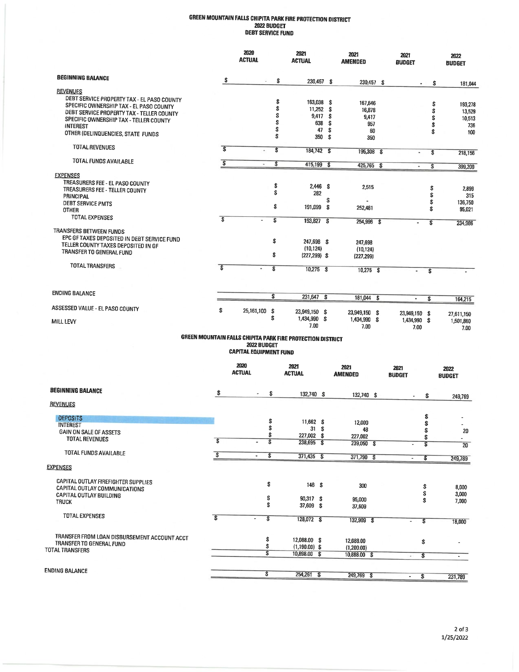# GREEN MOUNTAIN FALLS CHIPITA PARK FIRE PROTECTION DISTRICT<br>2022 BUDGET<br>DEBT SERVICE FUND

|                                                                                       |                                                            | 2020<br><b>ACTUAL</b>         |          | 2021<br><b>ACTUAL</b>         |            | 2021<br><b>AMENDED</b>        |        | 2021<br><b>BUDGET</b>         |                         | 2022<br><b>BUDGET</b> |
|---------------------------------------------------------------------------------------|------------------------------------------------------------|-------------------------------|----------|-------------------------------|------------|-------------------------------|--------|-------------------------------|-------------------------|-----------------------|
| <b>BEGINNING BALANCE</b>                                                              | \$                                                         | u                             | \$       | 230,457 \$                    |            | 230,457 \$                    |        |                               |                         |                       |
| <b>REVENUES</b>                                                                       |                                                            |                               |          |                               |            |                               |        |                               | \$                      | 181,044               |
| DEBT SERVICE PROPERTY TAX - EL PASO COUNTY<br>SPECIFIC OWNERSHIP TAX - EL PASO COUNTY |                                                            |                               | \$       | 163,038 \$                    |            | 167,646                       |        |                               | \$                      | 193,278               |
| DEBT SERVICE PROPERTY TAX - TELLER COUNTY                                             |                                                            |                               | \$<br>\$ | 11,252<br>9,417               | -S         | 16,878                        |        |                               | \$                      | 13,529                |
| SPECIFIC OWNERSHIP TAX - TELLER COUNTY                                                |                                                            |                               | \$       | 638                           | -\$<br>s   | 9,417<br>957                  |        |                               | \$<br>\$                | 10,513                |
| <b>INTEREST</b><br>OTHER (DELINQUENCIES, STATE FUNDS                                  |                                                            |                               | \$<br>\$ | 47<br>350                     | - \$<br>\$ | 60<br>350                     |        |                               | S                       | 736<br>100            |
| TOTAL REVENUES                                                                        | $\overline{\mathbf{s}}$                                    |                               | \$       | 184,742 \$                    |            | 195,308                       | $\sim$ | $\blacksquare$                | \$                      | 218,156               |
| TOTAL FUNDS AVAILABLE                                                                 | $\overline{\mathbf{s}}$                                    | ÷,                            | s        | 415,199                       | -\$        | 425,765 \$                    |        | $\blacksquare$                | \$                      | 399,200               |
| <b>EXPENSES</b>                                                                       |                                                            |                               |          |                               |            |                               |        |                               |                         |                       |
| TREASURERS FEE - EL PASO COUNTY                                                       |                                                            |                               |          |                               |            |                               |        |                               |                         |                       |
| TREASURERS FEE - TELLER COUNTY                                                        |                                                            |                               | \$<br>Ŝ  | $2.446$ \$<br>282             |            | 2,515                         |        |                               | \$                      | 2,899                 |
| <b>PRINCIPAL</b>                                                                      |                                                            |                               |          |                               | \$         |                               |        |                               | \$<br>\$                | 315<br>136,750        |
| DEBT SERVICE PMTS<br>OTHER                                                            |                                                            |                               | \$       | 191,099                       | \$         | 252,481                       |        |                               | \$                      | 95,021                |
| TOTAL EXPENSES                                                                        | $\overline{\mathbf{s}}$                                    |                               | s        | 193,827 \$                    |            | 254,996 \$                    |        | $\overline{a}$                | s                       | 234,986               |
| TRANSFERS BETWEEN FUNDS                                                               |                                                            |                               |          |                               |            |                               |        |                               |                         |                       |
| EPC GF TAXES DEPOSITED IN DEBT SERVICE FUND                                           |                                                            |                               | \$       | 247,698 \$                    |            | 247,698                       |        |                               |                         |                       |
| TELLER COUNTY TAXES DEPOSITED IN GF<br>TRANSFER TO GENERAL FUND                       |                                                            |                               |          | (10, 124)                     |            | (10, 124)                     |        |                               |                         |                       |
|                                                                                       |                                                            |                               | \$       | $(227, 299)$ \$               |            | (227, 299)                    |        |                               |                         |                       |
| <b>TOTAL TRANSFERS</b>                                                                | $\overline{\mathbf{s}}$                                    | $\blacksquare$                | \$       | $10,275$ \$                   |            | $10,275$ \$                   |        |                               | \$                      |                       |
| <b>ENDING BALANCE</b>                                                                 |                                                            |                               | \$       |                               |            |                               |        |                               |                         |                       |
|                                                                                       |                                                            |                               |          | 231,647 \$                    |            | 181,044 \$                    |        | $\blacksquare$                | \$                      | 164,215               |
| ASSESSED VALUE - EL PASO COUNTY                                                       | \$                                                         | 25,161,100                    | \$<br>\$ | 23,949,150 \$<br>1,434,990 \$ |            | 23,949,150 \$<br>1,434,990 \$ |        | 23,949,150 \$<br>1.434,990 \$ |                         | 27,611,150            |
| MILL LEVY                                                                             |                                                            |                               |          | 7.00                          |            | 7.00                          |        | 7.00                          |                         | 1,501,860<br>7.00     |
|                                                                                       | GREEN MOUNTAIN FALLS CHIPITA PARK FIRE PROTECTION DISTRICT | 2022 BUDGET                   |          |                               |            |                               |        |                               |                         |                       |
|                                                                                       |                                                            | <b>CAPITAL EQUIPMENT FUND</b> |          |                               |            |                               |        |                               |                         |                       |
|                                                                                       |                                                            | 2020<br><b>ACTUAL</b>         |          | 2021<br><b>ACTUAL</b>         |            | 2021<br><b>AMENDED</b>        |        | 2021<br><b>BUDGET</b>         |                         | 2022<br><b>BUDGET</b> |
| <b>BEGINNING BALANCE</b>                                                              | \$                                                         | ٠                             | \$       | 132,740 \$                    |            | 132,740 \$                    |        |                               | \$                      | 249,769               |
| <b>REVENUES</b>                                                                       |                                                            |                               |          |                               |            |                               |        |                               |                         |                       |
| <b>DEPOSITS</b>                                                                       |                                                            |                               | \$       |                               |            |                               |        |                               | \$                      |                       |
| <b>INTEREST</b>                                                                       |                                                            |                               | \$       | 11,662 \$<br>31 \$            |            | 12,000<br>48                  |        |                               | \$                      |                       |
| GAIN ON SALE OF ASSETS                                                                |                                                            |                               | \$       | 227,002 \$                    |            | 227,002                       |        |                               | \$<br>\$                | 20<br>÷               |
| TOTAL REVENUES                                                                        | $\overline{\mathbf{s}}$                                    |                               | s        | $238,695$ \$                  |            | 239,050 \$                    |        |                               | \$                      | $\overline{20}$       |
| TOTAL FUNDS AVAILABLE                                                                 | $\overline{\mathbf{s}}$                                    | ÷.                            | \$       | $371,435$ \$                  |            | 371,790 \$                    |        | $\blacksquare$                | $\overline{\mathbf{s}}$ | 249,789               |
| <b>EXPENSES</b>                                                                       |                                                            |                               |          |                               |            |                               |        |                               |                         |                       |
| CAPITAL OUTLAY FIREFIGHTER SUPPLIES                                                   |                                                            |                               | \$       | 146S                          |            | 300                           |        |                               |                         |                       |
| CAPITAL OUTLAY COMMUNICATIONS                                                         |                                                            |                               |          |                               |            |                               |        |                               | \$<br>\$                | 8,000<br>3,000        |
| CAPITAL OUTLAY BUILDING<br><b>TRUCK</b>                                               |                                                            |                               | \$       | 90,317 \$                     |            | 95,000                        |        |                               | \$                      | 7,000                 |
|                                                                                       |                                                            |                               | \$       | 37,609 \$                     |            | 37,609                        |        |                               |                         |                       |
| <b>TOTAL EXPENSES</b>                                                                 | $\overline{\mathbf{s}}$                                    | $\overline{\phantom{a}}$      | \$       | 128,072 \$                    |            | 132,909 \$                    |        | S<br>$\overline{\phantom{a}}$ |                         | 18,000                |

 $12,088.00$  \$<br>(1,190.00) \$<br>10,898.00 \$

254,261 \$

\$

\$ S

 $\overline{\mathbf{s}}$ 

 $12,088.00$ <br>(1,200.00)<br>10,888.00 \$

249,769 \$

TRANSFER FROM LOAN DISBURSEMENT ACCOUNT ACCT<br>TRANSFER TO GENERAL FUND<br>TOTAL TRANSFERS

**ENDING BALANCE** 

 $2$  of  $3$ 1/25/2022

 $\Box$ 

 $\sim$ 

231,789

 $\mathbb{S}$ 

 $\overline{\mathbf{s}}$ 

 $\overline{\mathbf{s}}$ 

 $\Box$